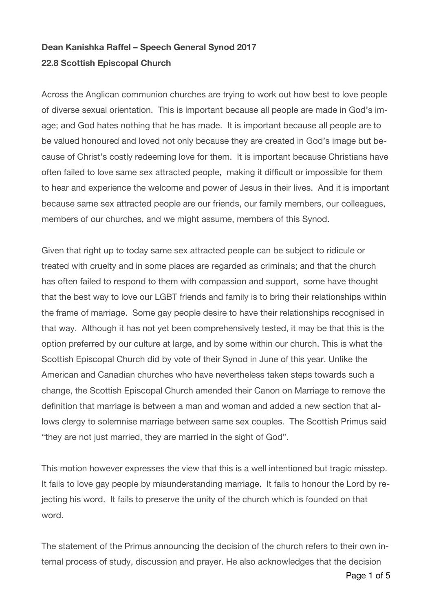## **Dean Kanishka Raffel – Speech General Synod 2017 22.8 Scottish Episcopal Church**

Across the Anglican communion churches are trying to work out how best to love people of diverse sexual orientation. This is important because all people are made in God's image; and God hates nothing that he has made. It is important because all people are to be valued honoured and loved not only because they are created in God's image but because of Christ's costly redeeming love for them. It is important because Christians have often failed to love same sex attracted people, making it difficult or impossible for them to hear and experience the welcome and power of Jesus in their lives. And it is important because same sex attracted people are our friends, our family members, our colleagues, members of our churches, and we might assume, members of this Synod.

Given that right up to today same sex attracted people can be subject to ridicule or treated with cruelty and in some places are regarded as criminals; and that the church has often failed to respond to them with compassion and support, some have thought that the best way to love our LGBT friends and family is to bring their relationships within the frame of marriage. Some gay people desire to have their relationships recognised in that way. Although it has not yet been comprehensively tested, it may be that this is the option preferred by our culture at large, and by some within our church. This is what the Scottish Episcopal Church did by vote of their Synod in June of this year. Unlike the American and Canadian churches who have nevertheless taken steps towards such a change, the Scottish Episcopal Church amended their Canon on Marriage to remove the definition that marriage is between a man and woman and added a new section that allows clergy to solemnise marriage between same sex couples. The Scottish Primus said "they are not just married, they are married in the sight of God".

This motion however expresses the view that this is a well intentioned but tragic misstep. It fails to love gay people by misunderstanding marriage. It fails to honour the Lord by rejecting his word. It fails to preserve the unity of the church which is founded on that word.

The statement of the Primus announcing the decision of the church refers to their own internal process of study, discussion and prayer. He also acknowledges that the decision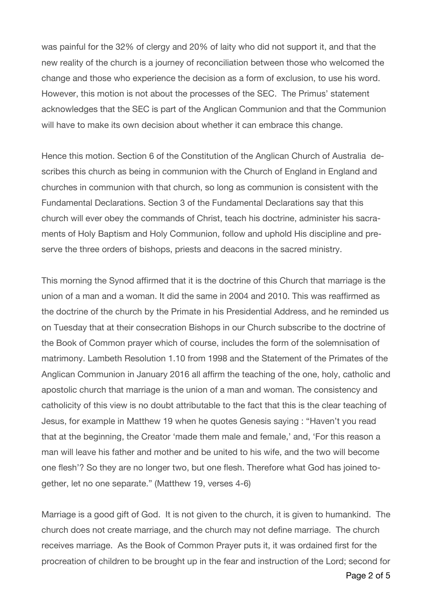was painful for the 32% of clergy and 20% of laity who did not support it, and that the new reality of the church is a journey of reconciliation between those who welcomed the change and those who experience the decision as a form of exclusion, to use his word. However, this motion is not about the processes of the SEC. The Primus' statement acknowledges that the SEC is part of the Anglican Communion and that the Communion will have to make its own decision about whether it can embrace this change.

Hence this motion. Section 6 of the Constitution of the Anglican Church of Australia describes this church as being in communion with the Church of England in England and churches in communion with that church, so long as communion is consistent with the Fundamental Declarations. Section 3 of the Fundamental Declarations say that this church will ever obey the commands of Christ, teach his doctrine, administer his sacraments of Holy Baptism and Holy Communion, follow and uphold His discipline and preserve the three orders of bishops, priests and deacons in the sacred ministry.

This morning the Synod affirmed that it is the doctrine of this Church that marriage is the union of a man and a woman. It did the same in 2004 and 2010. This was reaffirmed as the doctrine of the church by the Primate in his Presidential Address, and he reminded us on Tuesday that at their consecration Bishops in our Church subscribe to the doctrine of the Book of Common prayer which of course, includes the form of the solemnisation of matrimony. Lambeth Resolution 1.10 from 1998 and the Statement of the Primates of the Anglican Communion in January 2016 all affirm the teaching of the one, holy, catholic and apostolic church that marriage is the union of a man and woman. The consistency and catholicity of this view is no doubt attributable to the fact that this is the clear teaching of Jesus, for example in Matthew 19 when he quotes Genesis saying : "Haven't you read that at the beginning, the Creator 'made them male and female,' and, 'For this reason a man will leave his father and mother and be united to his wife, and the two will become one flesh'? So they are no longer two, but one flesh. Therefore what God has joined together, let no one separate." (Matthew 19, verses 4-6)

Marriage is a good gift of God. It is not given to the church, it is given to humankind. The church does not create marriage, and the church may not define marriage. The church receives marriage. As the Book of Common Prayer puts it, it was ordained first for the procreation of children to be brought up in the fear and instruction of the Lord; second for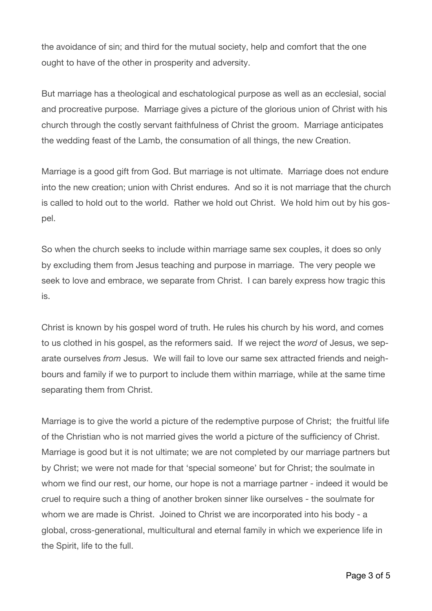the avoidance of sin; and third for the mutual society, help and comfort that the one ought to have of the other in prosperity and adversity.

But marriage has a theological and eschatological purpose as well as an ecclesial, social and procreative purpose. Marriage gives a picture of the glorious union of Christ with his church through the costly servant faithfulness of Christ the groom. Marriage anticipates the wedding feast of the Lamb, the consumation of all things, the new Creation.

Marriage is a good gift from God. But marriage is not ultimate. Marriage does not endure into the new creation; union with Christ endures. And so it is not marriage that the church is called to hold out to the world. Rather we hold out Christ. We hold him out by his gospel.

So when the church seeks to include within marriage same sex couples, it does so only by excluding them from Jesus teaching and purpose in marriage. The very people we seek to love and embrace, we separate from Christ. I can barely express how tragic this is.

Christ is known by his gospel word of truth. He rules his church by his word, and comes to us clothed in his gospel, as the reformers said. If we reject the *word* of Jesus, we separate ourselves *from* Jesus. We will fail to love our same sex attracted friends and neighbours and family if we to purport to include them within marriage, while at the same time separating them from Christ.

Marriage is to give the world a picture of the redemptive purpose of Christ; the fruitful life of the Christian who is not married gives the world a picture of the sufficiency of Christ. Marriage is good but it is not ultimate; we are not completed by our marriage partners but by Christ; we were not made for that 'special someone' but for Christ; the soulmate in whom we find our rest, our home, our hope is not a marriage partner - indeed it would be cruel to require such a thing of another broken sinner like ourselves - the soulmate for whom we are made is Christ. Joined to Christ we are incorporated into his body - a global, cross-generational, multicultural and eternal family in which we experience life in the Spirit, life to the full.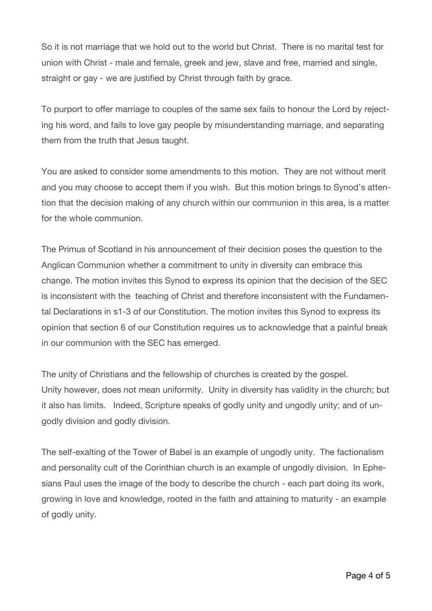So it is not marriage that we hold out to the world but Christ. There is no marital test for union with Christ - male and female, greek and jew, slave and free, married and single, straight or gay - we are justified by Christ through faith by grace.

To purport to offer marriage to couples of the same sex fails to honour the Lord by rejecting his word, and fails to love gay people by misunderstanding marriage, and separating them from the truth that Jesus taught.

You are asked to consider some amendments to this motion. They are not without merit and you may choose to accept them if you wish. But this motion brings to Synod's attention that the decision making of any church within our communion in this area, is a matter for the whole communion.

The Primus of Scotland in his announcement of their decision poses the question to the Anglican Communion whether a commitment to unity in diversity can embrace this change. The motion invites this Synod to express its opinion that the decision of the SEC is inconsistent with the teaching of Christ and therefore inconsistent with the Fundamental Declarations in s1-3 of our Constitution. The motion invites this Synod to express its opinion that section 6 of our Constitution requires us to acknowledge that a painful break in our communion with the SEC has emerged.

The unity of Christians and the fellowship of churches is created by the gospel. Unity however, does not mean uniformity. Unity in diversity has validity in the church; but it also has limits. Indeed, Scripture speaks of godly unity and ungodly unity; and of ungodly division and godly division.

The self-exalting of the Tower of Babel is an example of ungodly unity. The factionalism and personality cult of the Corinthian church is an example of ungodly division. In Ephesians Paul uses the image of the body to describe the church - each part doing its work, growing in love and knowledge, rooted in the faith and attaining to maturity - an example of godly unity.